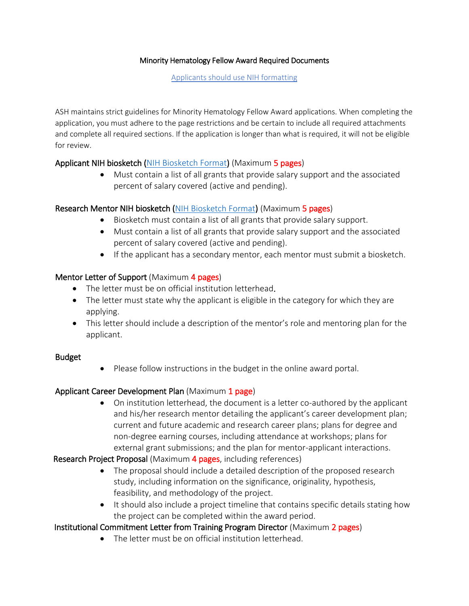#### Minority Hematology Fellow Award Required Documents

Applicants should use NIH formatting

ASH maintains strict guidelines for Minority Hematology Fellow Award applications. When completing the application, you must adhere to the page restrictions and be certain to include all required attachments and complete all required sections. If the application is longer than what is required, it will not be eligible for review.

### Applicant NIH biosketch [\(NIH Biosketch Format\)](http://grants.nih.gov/grants/guide/notice-files/NOT-OD-15-032.html) (Maximum 5 pages)

• Must contain a list of all grants that provide salary support and the associated percent of salary covered (active and pending).

# Research Mentor NIH biosketch [\(NIH Biosketch Format\)](http://grants.nih.gov/grants/guide/notice-files/NOT-OD-15-032.html) (Maximum 5 pages)

- Biosketch must contain a list of all grants that provide salary support.
- Must contain a list of all grants that provide salary support and the associated percent of salary covered (active and pending).
- If the applicant has a secondary mentor, each mentor must submit a biosketch.

### Mentor Letter of Support (Maximum 4 pages)

- The letter must be on official institution letterhead.
- The letter must state why the applicant is eligible in the category for which they are applying.
- This letter should include a description of the mentor's role and mentoring plan for the applicant.

### Budget

• Please follow instructions in the budget in the online award portal.

# Applicant Career Development Plan (Maximum 1 page)

• On institution letterhead, the document is a letter co-authored by the applicant and his/her research mentor detailing the applicant's career development plan; current and future academic and research career plans; plans for degree and non-degree earning courses, including attendance at workshops; plans for external grant submissions; and the plan for mentor-applicant interactions.

### Research Project Proposal (Maximum 4 pages, including references)

- The proposal should include a detailed description of the proposed research study, including information on the significance, originality, hypothesis, feasibility, and methodology of the project.
- It should also include a project timeline that contains specific details stating how the project can be completed within the award period.

# Institutional Commitment Letter from Training Program Director (Maximum 2 pages)

• The letter must be on official institution letterhead.